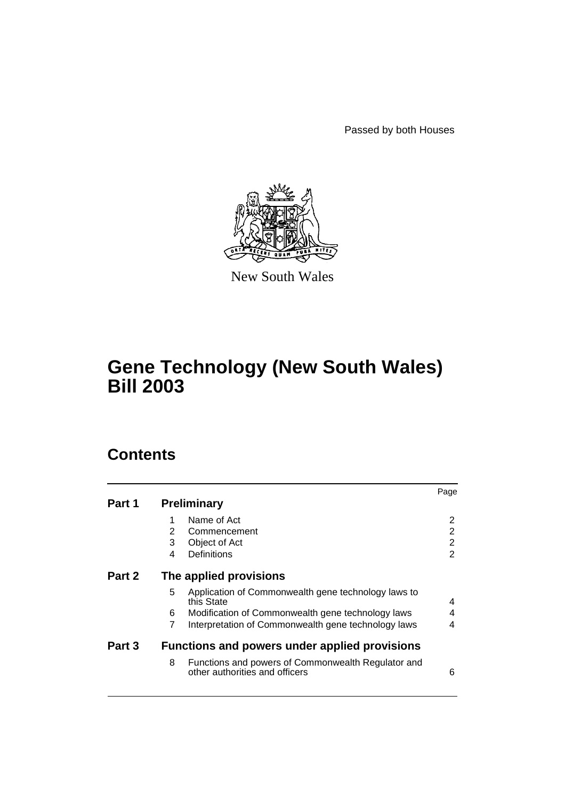Passed by both Houses



New South Wales

# **Gene Technology (New South Wales) Bill 2003**

# **Contents**

|        |                                                                                           | Page |  |
|--------|-------------------------------------------------------------------------------------------|------|--|
| Part 1 | <b>Preliminary</b>                                                                        |      |  |
|        | Name of Act<br>1                                                                          | 2    |  |
|        | 2<br>Commencement                                                                         | 2    |  |
|        | 3<br>Object of Act                                                                        | 2    |  |
|        | Definitions<br>4                                                                          | 2    |  |
| Part 2 | The applied provisions                                                                    |      |  |
|        | 5<br>Application of Commonwealth gene technology laws to<br>this State                    | 4    |  |
|        | 6<br>Modification of Commonwealth gene technology laws                                    | 4    |  |
|        | 7<br>Interpretation of Commonwealth gene technology laws                                  | 4    |  |
| Part 3 | <b>Functions and powers under applied provisions</b>                                      |      |  |
|        | 8<br>Functions and powers of Commonwealth Regulator and<br>other authorities and officers | 6    |  |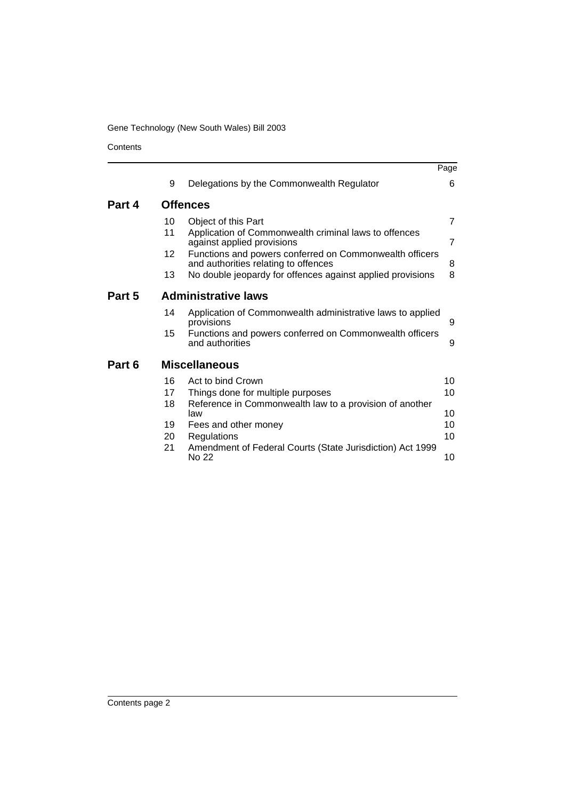# Gene Technology (New South Wales) Bill 2003

**Contents** 

|        |                      |                                                                                                 | Page           |  |  |
|--------|----------------------|-------------------------------------------------------------------------------------------------|----------------|--|--|
|        | 9                    | Delegations by the Commonwealth Regulator                                                       | 6              |  |  |
| Part 4 |                      | <b>Offences</b>                                                                                 |                |  |  |
|        | 10                   | Object of this Part                                                                             | $\overline{7}$ |  |  |
|        | 11                   | Application of Commonwealth criminal laws to offences<br>against applied provisions             | $\overline{7}$ |  |  |
|        | $12 \overline{ }$    | Functions and powers conferred on Commonwealth officers<br>and authorities relating to offences | 8              |  |  |
|        | 13                   | No double jeopardy for offences against applied provisions                                      | 8              |  |  |
| Part 5 |                      | <b>Administrative laws</b>                                                                      |                |  |  |
|        | 14                   | Application of Commonwealth administrative laws to applied<br>provisions                        | 9              |  |  |
|        | 15                   | Functions and powers conferred on Commonwealth officers<br>and authorities                      | 9              |  |  |
| Part 6 | <b>Miscellaneous</b> |                                                                                                 |                |  |  |
|        | 16                   | Act to bind Crown                                                                               | 10             |  |  |
|        | 17                   | Things done for multiple purposes                                                               | 10             |  |  |
|        | 18                   | Reference in Commonwealth law to a provision of another<br>law                                  | 10             |  |  |
|        | 19                   | Fees and other money                                                                            | 10             |  |  |
|        | 20                   | Regulations                                                                                     | 10             |  |  |
|        | 21                   | Amendment of Federal Courts (State Jurisdiction) Act 1999<br>No 22                              | 10             |  |  |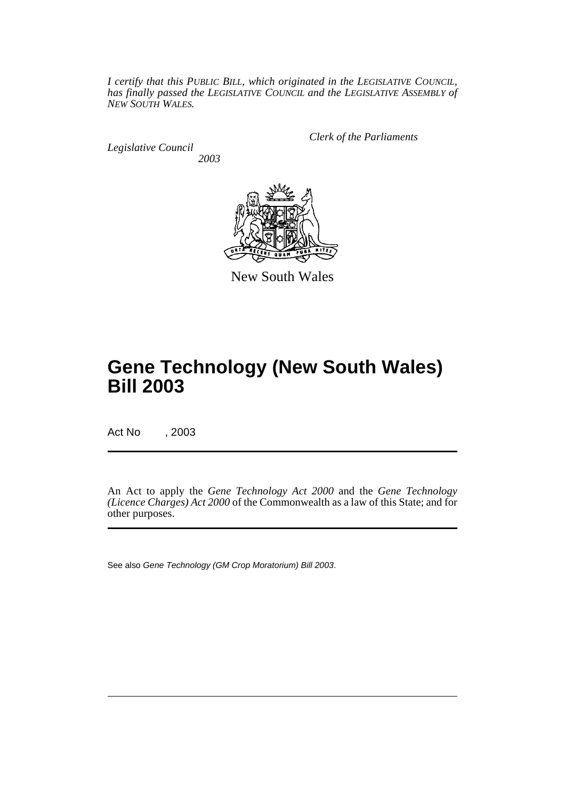*I certify that this PUBLIC BILL, which originated in the LEGISLATIVE COUNCIL, has finally passed the LEGISLATIVE COUNCIL and the LEGISLATIVE ASSEMBLY of NEW SOUTH WALES.*

*Legislative Council 2003* *Clerk of the Parliaments*



New South Wales

# **Gene Technology (New South Wales) Bill 2003**

Act No , 2003

An Act to apply the *Gene Technology Act 2000* and the *Gene Technology (Licence Charges) Act 2000* of the Commonwealth as a law of this State; and for other purposes.

See also Gene Technology (GM Crop Moratorium) Bill 2003.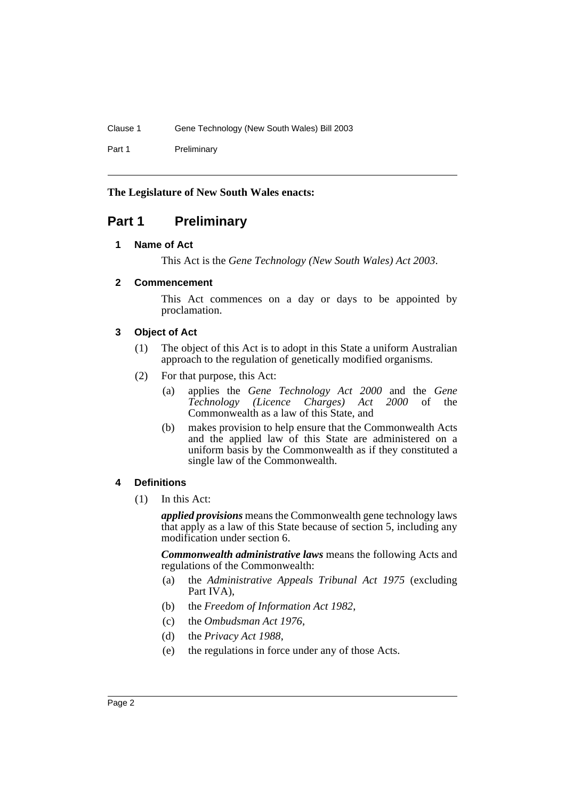Part 1 Preliminary

## **The Legislature of New South Wales enacts:**

# <span id="page-3-1"></span><span id="page-3-0"></span>**Part 1 Preliminary**

## **1 Name of Act**

This Act is the *Gene Technology (New South Wales) Act 2003*.

## <span id="page-3-2"></span>**2 Commencement**

This Act commences on a day or days to be appointed by proclamation.

## <span id="page-3-3"></span>**3 Object of Act**

- (1) The object of this Act is to adopt in this State a uniform Australian approach to the regulation of genetically modified organisms.
- (2) For that purpose, this Act:
	- (a) applies the *Gene Technology Act 2000* and the *Gene Technology (Licence Charges) Act 2000* of the Commonwealth as a law of this State, and
	- (b) makes provision to help ensure that the Commonwealth Acts and the applied law of this State are administered on a uniform basis by the Commonwealth as if they constituted a single law of the Commonwealth.

## <span id="page-3-4"></span>**4 Definitions**

(1) In this Act:

*applied provisions* means the Commonwealth gene technology laws that apply as a law of this State because of section 5, including any modification under section 6.

*Commonwealth administrative laws* means the following Acts and regulations of the Commonwealth:

- (a) the *Administrative Appeals Tribunal Act 1975* (excluding Part IVA),
- (b) the *Freedom of Information Act 1982*,
- (c) the *Ombudsman Act 1976*,
- (d) the *Privacy Act 1988*,
- (e) the regulations in force under any of those Acts.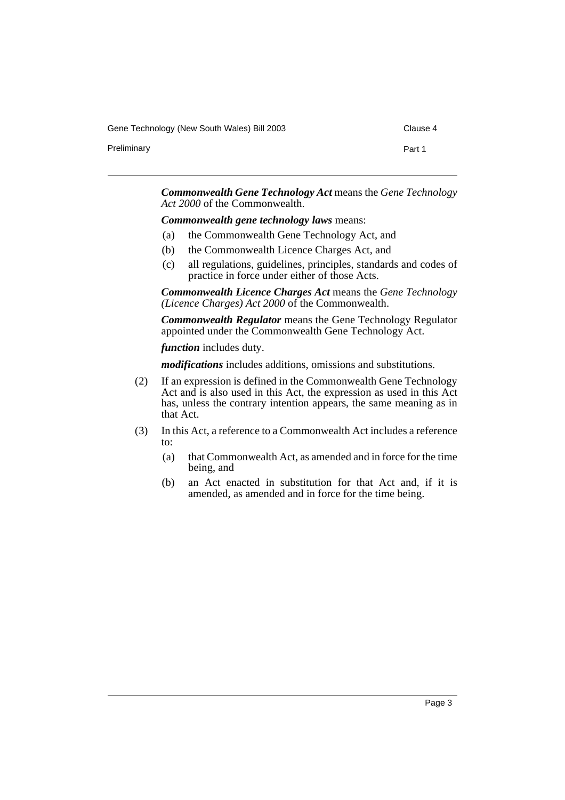Gene Technology (New South Wales) Bill 2003 Clause 4

Preliminary **Preliminary** Part 1

*Commonwealth Gene Technology Act* means the *Gene Technology Act 2000* of the Commonwealth.

*Commonwealth gene technology laws* means:

- (a) the Commonwealth Gene Technology Act, and
- (b) the Commonwealth Licence Charges Act, and
- (c) all regulations, guidelines, principles, standards and codes of practice in force under either of those Acts.

*Commonwealth Licence Charges Act* means the *Gene Technology (Licence Charges) Act 2000* of the Commonwealth.

*Commonwealth Regulator* means the Gene Technology Regulator appointed under the Commonwealth Gene Technology Act.

*function* includes duty.

*modifications* includes additions, omissions and substitutions.

- (2) If an expression is defined in the Commonwealth Gene Technology Act and is also used in this Act, the expression as used in this Act has, unless the contrary intention appears, the same meaning as in that Act.
- (3) In this Act, a reference to a Commonwealth Act includes a reference to:
	- (a) that Commonwealth Act, as amended and in force for the time being, and
	- (b) an Act enacted in substitution for that Act and, if it is amended, as amended and in force for the time being.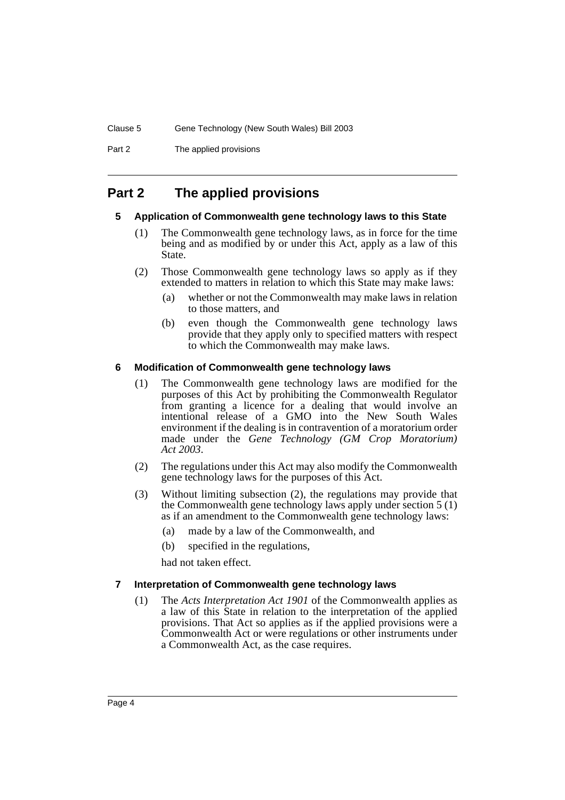Part 2 The applied provisions

# <span id="page-5-1"></span><span id="page-5-0"></span>**Part 2 The applied provisions**

## **5 Application of Commonwealth gene technology laws to this State**

- (1) The Commonwealth gene technology laws, as in force for the time being and as modified by or under this Act, apply as a law of this State.
- (2) Those Commonwealth gene technology laws so apply as if they extended to matters in relation to which this State may make laws:
	- (a) whether or not the Commonwealth may make laws in relation to those matters, and
	- (b) even though the Commonwealth gene technology laws provide that they apply only to specified matters with respect to which the Commonwealth may make laws.

## <span id="page-5-2"></span>**6 Modification of Commonwealth gene technology laws**

- (1) The Commonwealth gene technology laws are modified for the purposes of this Act by prohibiting the Commonwealth Regulator from granting a licence for a dealing that would involve an intentional release of a GMO into the New South Wales environment if the dealing is in contravention of a moratorium order made under the *Gene Technology (GM Crop Moratorium) Act 2003*.
- (2) The regulations under this Act may also modify the Commonwealth gene technology laws for the purposes of this Act.
- (3) Without limiting subsection (2), the regulations may provide that the Commonwealth gene technology laws apply under section 5 (1) as if an amendment to the Commonwealth gene technology laws:
	- (a) made by a law of the Commonwealth, and
	- (b) specified in the regulations,

had not taken effect.

#### <span id="page-5-3"></span>**7 Interpretation of Commonwealth gene technology laws**

(1) The *Acts Interpretation Act 1901* of the Commonwealth applies as a law of this State in relation to the interpretation of the applied provisions. That Act so applies as if the applied provisions were a Commonwealth Act or were regulations or other instruments under a Commonwealth Act, as the case requires.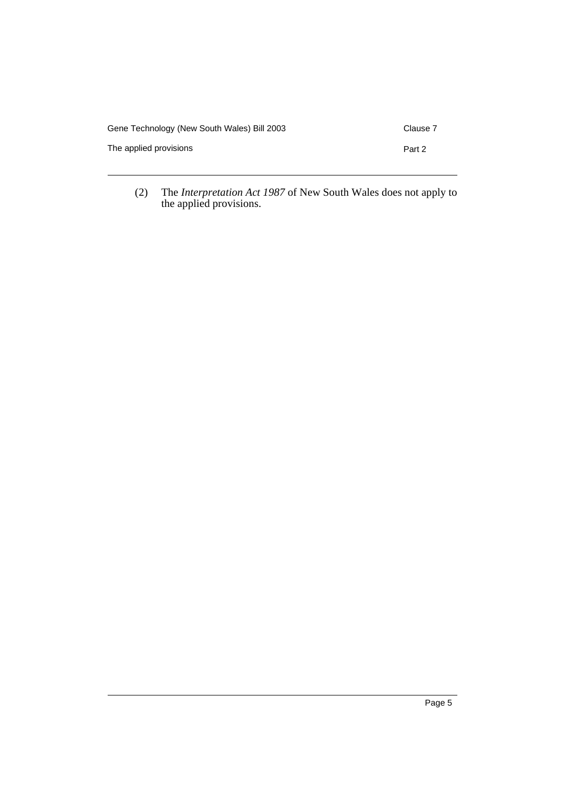| Gene Technology (New South Wales) Bill 2003 | Clause 7 |
|---------------------------------------------|----------|
| The applied provisions                      | Part 2   |
|                                             |          |

(2) The *Interpretation Act 1987* of New South Wales does not apply to the applied provisions.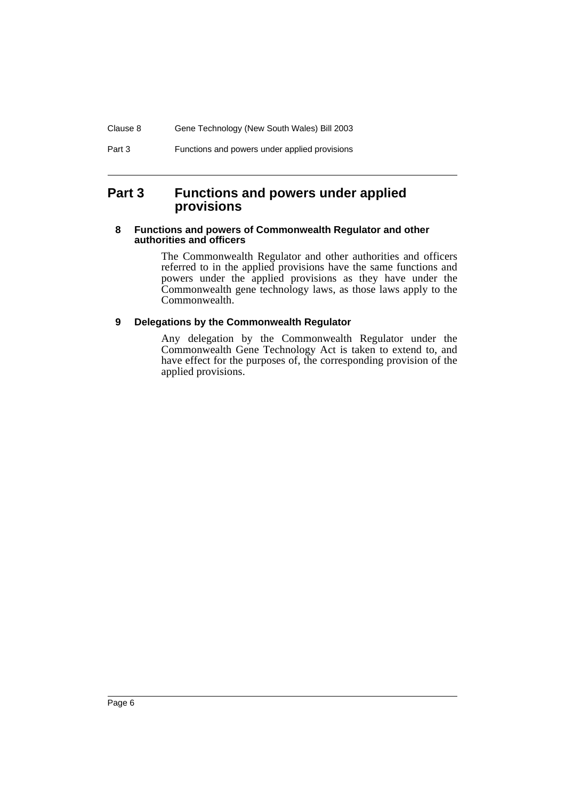# <span id="page-7-0"></span>**Part 3 Functions and powers under applied provisions**

#### <span id="page-7-1"></span>**8 Functions and powers of Commonwealth Regulator and other authorities and officers**

The Commonwealth Regulator and other authorities and officers referred to in the applied provisions have the same functions and powers under the applied provisions as they have under the Commonwealth gene technology laws, as those laws apply to the Commonwealth.

## <span id="page-7-2"></span>**9 Delegations by the Commonwealth Regulator**

Any delegation by the Commonwealth Regulator under the Commonwealth Gene Technology Act is taken to extend to, and have effect for the purposes of, the corresponding provision of the applied provisions.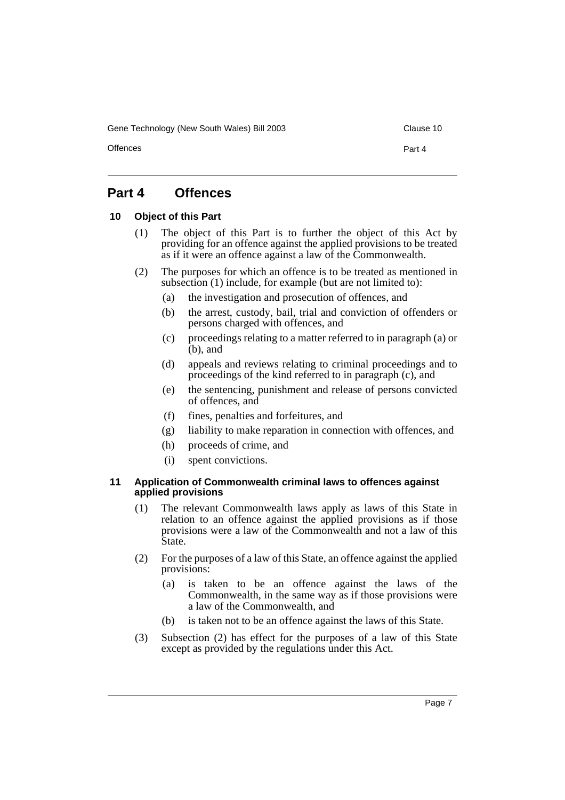Gene Technology (New South Wales) Bill 2003 Clause 10

Offences **Part 4** 

# <span id="page-8-0"></span>**Part 4 Offences**

## <span id="page-8-1"></span>**10 Object of this Part**

- (1) The object of this Part is to further the object of this Act by providing for an offence against the applied provisions to be treated as if it were an offence against a law of the Commonwealth.
- (2) The purposes for which an offence is to be treated as mentioned in subsection (1) include, for example (but are not limited to):
	- (a) the investigation and prosecution of offences, and
	- (b) the arrest, custody, bail, trial and conviction of offenders or persons charged with offences, and
	- (c) proceedings relating to a matter referred to in paragraph (a) or  $(b)$ , and
	- (d) appeals and reviews relating to criminal proceedings and to proceedings of the kind referred to in paragraph (c), and
	- (e) the sentencing, punishment and release of persons convicted of offences, and
	- (f) fines, penalties and forfeitures, and
	- (g) liability to make reparation in connection with offences, and
	- (h) proceeds of crime, and
	- (i) spent convictions.

#### <span id="page-8-2"></span>**11 Application of Commonwealth criminal laws to offences against applied provisions**

- (1) The relevant Commonwealth laws apply as laws of this State in relation to an offence against the applied provisions as if those provisions were a law of the Commonwealth and not a law of this State.
- (2) For the purposes of a law of this State, an offence against the applied provisions:
	- (a) is taken to be an offence against the laws of the Commonwealth, in the same way as if those provisions were a law of the Commonwealth, and
	- (b) is taken not to be an offence against the laws of this State.
- (3) Subsection (2) has effect for the purposes of a law of this State except as provided by the regulations under this Act.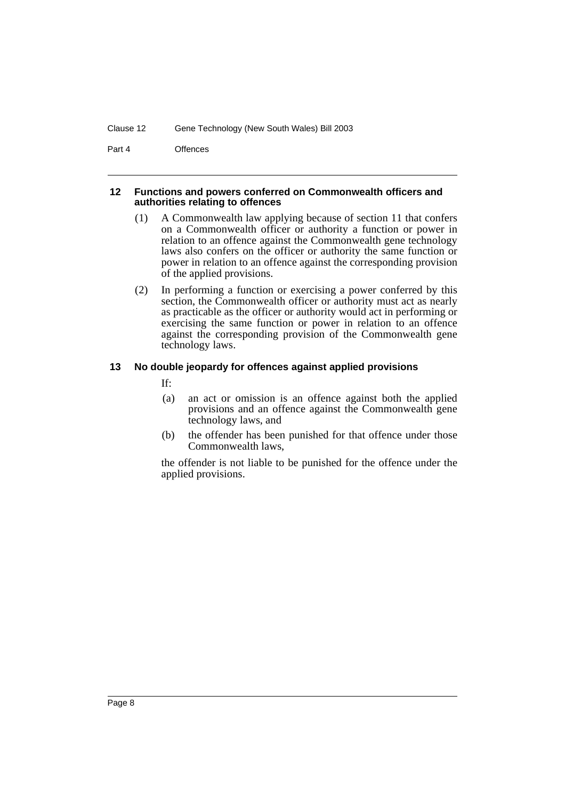Part 4 Offences

#### <span id="page-9-0"></span>**12 Functions and powers conferred on Commonwealth officers and authorities relating to offences**

- (1) A Commonwealth law applying because of section 11 that confers on a Commonwealth officer or authority a function or power in relation to an offence against the Commonwealth gene technology laws also confers on the officer or authority the same function or power in relation to an offence against the corresponding provision of the applied provisions.
- (2) In performing a function or exercising a power conferred by this section, the Commonwealth officer or authority must act as nearly as practicable as the officer or authority would act in performing or exercising the same function or power in relation to an offence against the corresponding provision of the Commonwealth gene technology laws.

#### <span id="page-9-1"></span>**13 No double jeopardy for offences against applied provisions**

If:

- (a) an act or omission is an offence against both the applied provisions and an offence against the Commonwealth gene technology laws, and
- (b) the offender has been punished for that offence under those Commonwealth laws,

the offender is not liable to be punished for the offence under the applied provisions.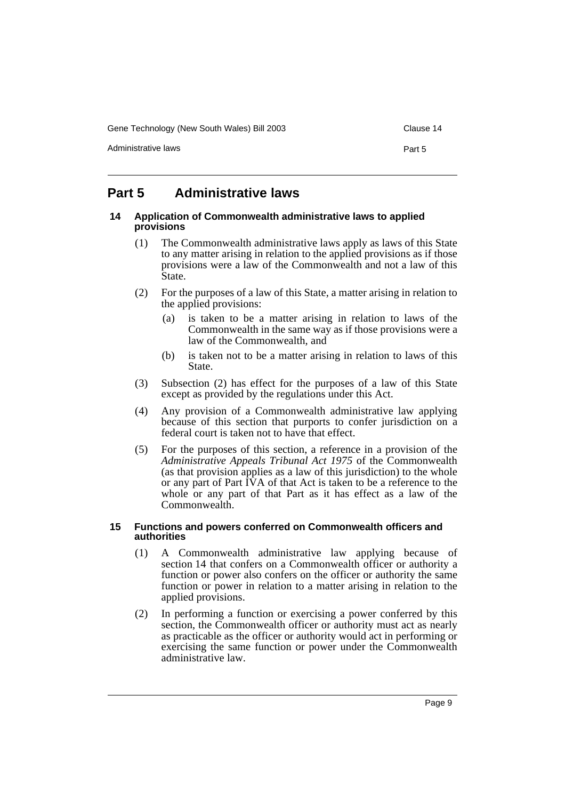Gene Technology (New South Wales) Bill 2003 Clause 14

Administrative laws **Part 5** 

# <span id="page-10-0"></span>**Part 5 Administrative laws**

#### <span id="page-10-1"></span>**14 Application of Commonwealth administrative laws to applied provisions**

- (1) The Commonwealth administrative laws apply as laws of this State to any matter arising in relation to the applied provisions as if those provisions were a law of the Commonwealth and not a law of this State.
- (2) For the purposes of a law of this State, a matter arising in relation to the applied provisions:
	- (a) is taken to be a matter arising in relation to laws of the Commonwealth in the same way as if those provisions were a law of the Commonwealth, and
	- (b) is taken not to be a matter arising in relation to laws of this State.
- (3) Subsection (2) has effect for the purposes of a law of this State except as provided by the regulations under this Act.
- (4) Any provision of a Commonwealth administrative law applying because of this section that purports to confer jurisdiction on a federal court is taken not to have that effect.
- (5) For the purposes of this section, a reference in a provision of the *Administrative Appeals Tribunal Act 1975* of the Commonwealth (as that provision applies as a law of this jurisdiction) to the whole or any part of Part IVA of that Act is taken to be a reference to the whole or any part of that Part as it has effect as a law of the Commonwealth.

#### <span id="page-10-2"></span>**15 Functions and powers conferred on Commonwealth officers and authorities**

- (1) A Commonwealth administrative law applying because of section 14 that confers on a Commonwealth officer or authority a function or power also confers on the officer or authority the same function or power in relation to a matter arising in relation to the applied provisions.
- (2) In performing a function or exercising a power conferred by this section, the Commonwealth officer or authority must act as nearly as practicable as the officer or authority would act in performing or exercising the same function or power under the Commonwealth administrative law.